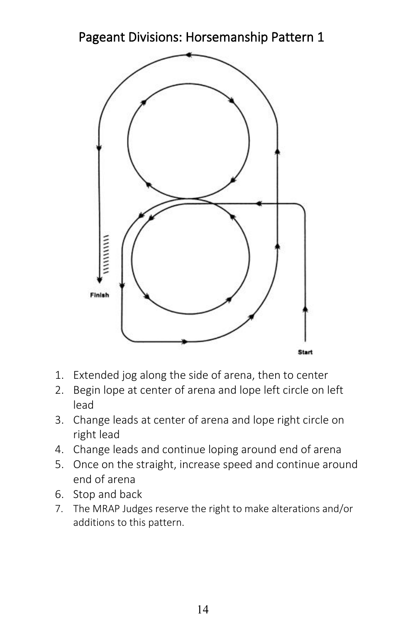Pageant Divisions: Horsemanship Pattern 1



- 1. Extended jog along the side of arena, then to center
- 2. Begin lope at center of arena and lope left circle on left lead
- 3. Change leads at center of arena and lope right circle on right lead
- 4. Change leads and continue loping around end of arena
- 5. Once on the straight, increase speed and continue around end of arena
- 6. Stop and back
- 7. The MRAP Judges reserve the right to make alterations and/or additions to this pattern.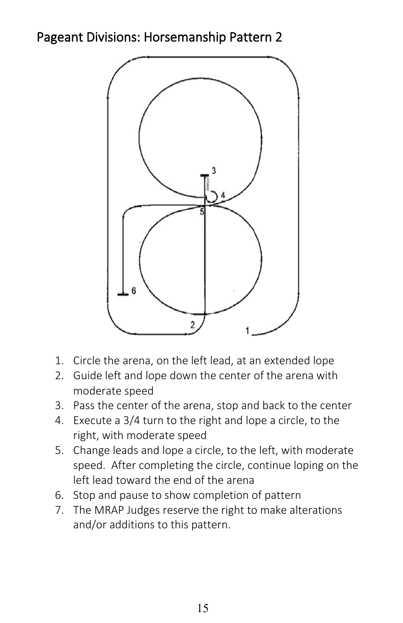## Pageant Divisions: Horsemanship Pattern 2



- 1. Circle the arena, on the left lead, at an extended lope
- 2. Guide left and lope down the center of the arena with moderate speed
- 3. Pass the center of the arena, stop and back to the center
- 4. Execute a 3/4 turn to the right and lope a circle, to the right, with moderate speed
- 5. Change leads and lope a circle, to the left, with moderate speed. After completing the circle, continue loping on the left lead toward the end of the arena
- 6. Stop and pause to show completion of pattern
- 7. The MRAP Judges reserve the right to make alterations and/or additions to this pattern.